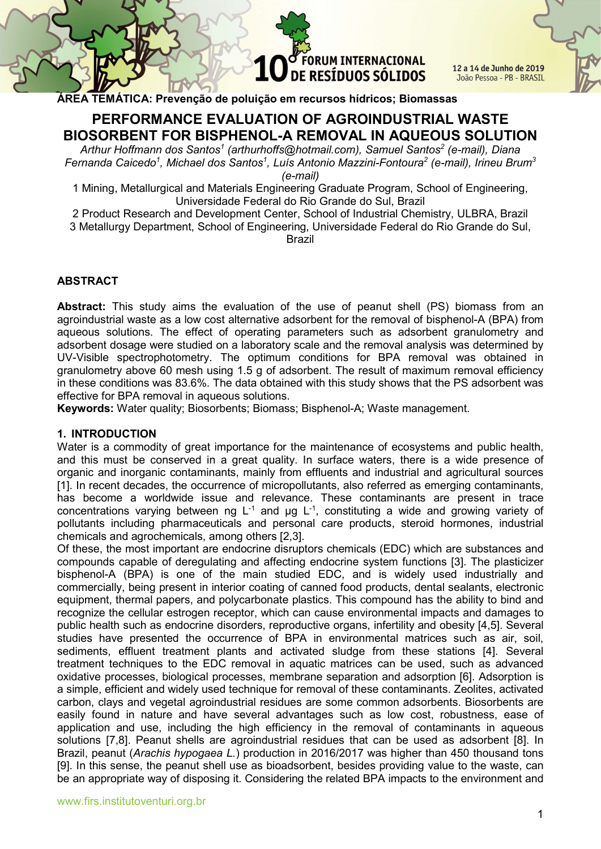**FORUM INTERNACIONAL** DE RESÍDUOS SÓLIDOS

12 a 14 de Junho de 2019 João Pessoa - PB - BRASIL

ÁREA TEMÁTICA: Prevenção de poluição em recursos hídricos; Biomassas

# PERFORMANCE EVALUATION OF AGROINDUSTRIAL WASTE BIOSORBENT FOR BISPHENOL-A REMOVAL IN AQUEOUS SOLUTION

Arthur Hoffmann dos Santos<sup>1</sup> (arthurhoffs@hotmail.com), Samuel Santos<sup>2</sup> (e-mail), Diana Fernanda Caicedo<sup>1</sup>, Michael dos Santos<sup>1</sup>, Luís Antonio Mazzini-Fontoura<sup>2</sup> (e-mail), Irineu Brum<sup>3</sup> (e-mail)

1 Mining, Metallurgical and Materials Engineering Graduate Program, School of Engineering, Universidade Federal do Rio Grande do Sul, Brazil

2 Product Research and Development Center, School of Industrial Chemistry, ULBRA, Brazil 3 Metallurgy Department, School of Engineering, Universidade Federal do Rio Grande do Sul, Brazil

#### ABSTRACT

Abstract: This study aims the evaluation of the use of peanut shell (PS) biomass from an agroindustrial waste as a low cost alternative adsorbent for the removal of bisphenol-A (BPA) from aqueous solutions. The effect of operating parameters such as adsorbent granulometry and adsorbent dosage were studied on a laboratory scale and the removal analysis was determined by UV-Visible spectrophotometry. The optimum conditions for BPA removal was obtained in granulometry above 60 mesh using 1.5 g of adsorbent. The result of maximum removal efficiency in these conditions was 83.6%. The data obtained with this study shows that the PS adsorbent was effective for BPA removal in aqueous solutions.

Keywords: Water quality; Biosorbents; Biomass; Bisphenol-A; Waste management.

#### 1. INTRODUCTION

Water is a commodity of great importance for the maintenance of ecosystems and public health, and this must be conserved in a great quality. In surface waters, there is a wide presence of organic and inorganic contaminants, mainly from effluents and industrial and agricultural sources [1]. In recent decades, the occurrence of micropollutants, also referred as emerging contaminants, has become a worldwide issue and relevance. These contaminants are present in trace concentrations varying between ng  $L^{-1}$  and  $\mu$ g  $L^{-1}$ , constituting a wide and growing variety of pollutants including pharmaceuticals and personal care products, steroid hormones, industrial chemicals and agrochemicals, among others [2,3].

Of these, the most important are endocrine disruptors chemicals (EDC) which are substances and compounds capable of deregulating and affecting endocrine system functions [3]. The plasticizer bisphenol-A (BPA) is one of the main studied EDC, and is widely used industrially and commercially, being present in interior coating of canned food products, dental sealants, electronic equipment, thermal papers, and polycarbonate plastics. This compound has the ability to bind and recognize the cellular estrogen receptor, which can cause environmental impacts and damages to public health such as endocrine disorders, reproductive organs, infertility and obesity [4,5]. Several studies have presented the occurrence of BPA in environmental matrices such as air, soil, sediments, effluent treatment plants and activated sludge from these stations [4]. Several treatment techniques to the EDC removal in aquatic matrices can be used, such as advanced oxidative processes, biological processes, membrane separation and adsorption [6]. Adsorption is a simple, efficient and widely used technique for removal of these contaminants. Zeolites, activated carbon, clays and vegetal agroindustrial residues are some common adsorbents. Biosorbents are easily found in nature and have several advantages such as low cost, robustness, ease of application and use, including the high efficiency in the removal of contaminants in aqueous solutions [7,8]. Peanut shells are agroindustrial residues that can be used as adsorbent [8]. In Brazil, peanut (Arachis hypogaea L.) production in 2016/2017 was higher than 450 thousand tons [9]. In this sense, the peanut shell use as bioadsorbent, besides providing value to the waste, can be an appropriate way of disposing it. Considering the related BPA impacts to the environment and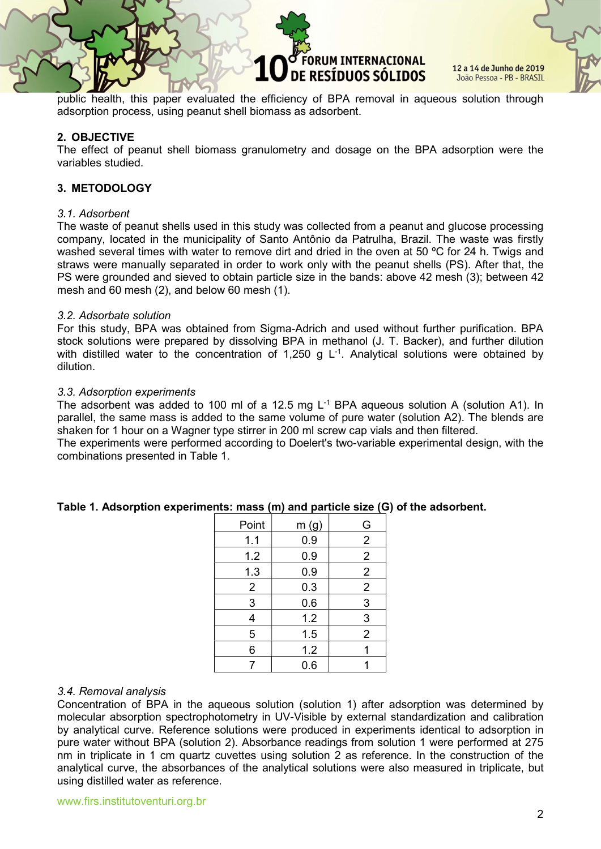## **DRUM INTERNACIONAL** DE RESÍDUOS SÓLIDOS

12 a 14 de Junho de 2019 João Pessoa - PB - BRASIL

public health, this paper evaluated the efficiency of BPA removal in aqueous solution through adsorption process, using peanut shell biomass as adsorbent.

#### 2. OBJECTIVE

The effect of peanut shell biomass granulometry and dosage on the BPA adsorption were the variables studied.

#### 3. METODOLOGY

#### 3.1. Adsorbent

The waste of peanut shells used in this study was collected from a peanut and glucose processing company, located in the municipality of Santo Antônio da Patrulha, Brazil. The waste was firstly washed several times with water to remove dirt and dried in the oven at 50 °C for 24 h. Twigs and straws were manually separated in order to work only with the peanut shells (PS). After that, the PS were grounded and sieved to obtain particle size in the bands: above 42 mesh (3); between 42 mesh and 60 mesh (2), and below 60 mesh (1).

#### 3.2. Adsorbate solution

For this study, BPA was obtained from Sigma-Adrich and used without further purification. BPA stock solutions were prepared by dissolving BPA in methanol (J. T. Backer), and further dilution with distilled water to the concentration of 1,250 g  $L^{-1}$ . Analytical solutions were obtained by dilution.

#### 3.3. Adsorption experiments

The adsorbent was added to 100 ml of a 12.5 mg  $L^{-1}$  BPA aqueous solution A (solution A1). In parallel, the same mass is added to the same volume of pure water (solution A2). The blends are shaken for 1 hour on a Wagner type stirrer in 200 ml screw cap vials and then filtered.

The experiments were performed according to Doelert's two-variable experimental design, with the combinations presented in Table 1.

| Point          | m(g) | G              |
|----------------|------|----------------|
| 1.1            | 0.9  | $\overline{2}$ |
| 1.2            | 0.9  | $\overline{2}$ |
| 1.3            | 0.9  | $\overline{2}$ |
| $\overline{2}$ | 0.3  | $\overline{2}$ |
| 3              | 0.6  | 3              |
| 4              | 1.2  | 3              |
| 5              | 1.5  | $\overline{2}$ |
| 6              | 1.2  | 1              |
| 7              | 0.6  |                |

#### Table 1. Adsorption experiments: mass (m) and particle size (G) of the adsorbent.

#### 3.4. Removal analysis

Concentration of BPA in the aqueous solution (solution 1) after adsorption was determined by molecular absorption spectrophotometry in UV-Visible by external standardization and calibration by analytical curve. Reference solutions were produced in experiments identical to adsorption in pure water without BPA (solution 2). Absorbance readings from solution 1 were performed at 275 nm in triplicate in 1 cm quartz cuvettes using solution 2 as reference. In the construction of the analytical curve, the absorbances of the analytical solutions were also measured in triplicate, but using distilled water as reference.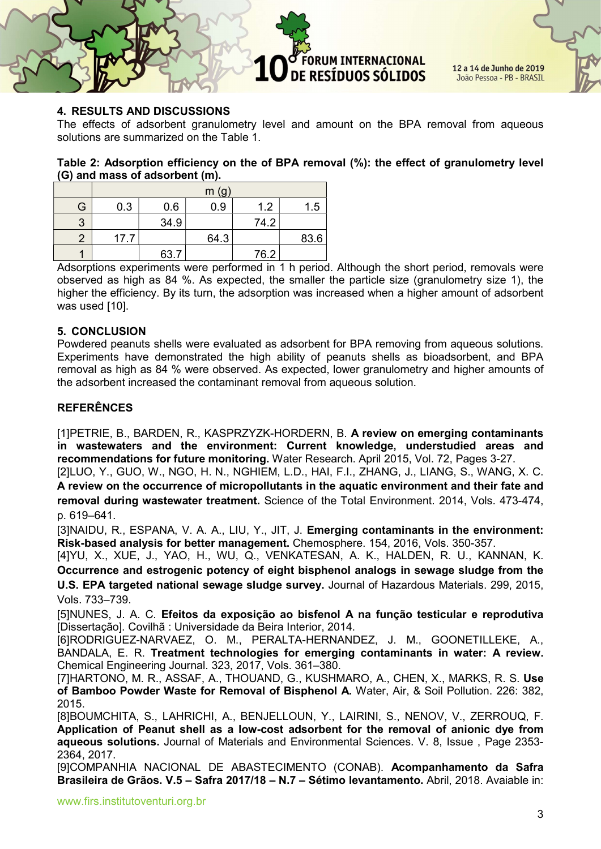ORUM INTERNACIONAL DE RESÍDUOS SÓLIDOS

12 a 14 de Junho de 2019 João Pessoa - PB - BRASIL

## 4. RESULTS AND DISCUSSIONS

The effects of adsorbent granulometry level and amount on the BPA removal from aqueous solutions are summarized on the Table 1.

#### Table 2: Adsorption efficiency on the of BPA removal (%): the effect of granulometry level (G) and mass of adsorbent (m).

|    | m(g) |      |      |      |      |
|----|------|------|------|------|------|
| G. | 0.3  | 0.6  | 0.9  | 1.2  | 1.5  |
| 3  |      | 34.9 |      | 74.2 |      |
|    | 17.7 |      | 64.3 |      | 83.6 |
|    |      | 63.7 |      | 76.2 |      |

Adsorptions experiments were performed in 1 h period. Although the short period, removals were observed as high as 84 %. As expected, the smaller the particle size (granulometry size 1), the higher the efficiency. By its turn, the adsorption was increased when a higher amount of adsorbent was used [10].

#### 5. CONCLUSION

Powdered peanuts shells were evaluated as adsorbent for BPA removing from aqueous solutions. Experiments have demonstrated the high ability of peanuts shells as bioadsorbent, and BPA removal as high as 84 % were observed. As expected, lower granulometry and higher amounts of the adsorbent increased the contaminant removal from aqueous solution.

### REFERÊNCES

[1]PETRIE, B., BARDEN, R., KASPRZYZK-HORDERN, B. A review on emerging contaminants in wastewaters and the environment: Current knowledge, understudied areas and recommendations for future monitoring. Water Research. April 2015, Vol. 72, Pages 3-27.

[2]LUO, Y., GUO, W., NGO, H. N., NGHIEM, L.D., HAI, F.I., ZHANG, J., LIANG, S., WANG, X. C. A review on the occurrence of micropollutants in the aquatic environment and their fate and removal during wastewater treatment. Science of the Total Environment. 2014, Vols. 473-474, p. 619–641.

[3]NAIDU, R., ESPANA, V. A. A., LIU, Y., JIT, J. Emerging contaminants in the environment: Risk-based analysis for better management. Chemosphere. 154, 2016, Vols. 350-357.

[4]YU, X., XUE, J., YAO, H., WU, Q., VENKATESAN, A. K., HALDEN, R. U., KANNAN, K. Occurrence and estrogenic potency of eight bisphenol analogs in sewage sludge from the U.S. EPA targeted national sewage sludge survey. Journal of Hazardous Materials. 299, 2015, Vols. 733–739.

[5]NUNES, J. A. C. Efeitos da exposição ao bisfenol A na função testicular e reprodutiva [Dissertação]. Covilhã : Universidade da Beira Interior, 2014.

[6]RODRIGUEZ-NARVAEZ, O. M., PERALTA-HERNANDEZ, J. M., GOONETILLEKE, A., BANDALA, E. R. Treatment technologies for emerging contaminants in water: A review. Chemical Engineering Journal. 323, 2017, Vols. 361–380.

[7]HARTONO, M. R., ASSAF, A., THOUAND, G., KUSHMARO, A., CHEN, X., MARKS, R. S. Use of Bamboo Powder Waste for Removal of Bisphenol A. Water, Air, & Soil Pollution. 226: 382, 2015.

[8]BOUMCHITA, S., LAHRICHI, A., BENJELLOUN, Y., LAIRINI, S., NENOV, V., ZERROUQ, F. Application of Peanut shell as a low-cost adsorbent for the removal of anionic dye from aqueous solutions. Journal of Materials and Environmental Sciences. V. 8, Issue , Page 2353- 2364, 2017.

[9]COMPANHIA NACIONAL DE ABASTECIMENTO (CONAB). Acompanhamento da Safra Brasileira de Grãos. V.5 – Safra 2017/18 – N.7 – Sétimo levantamento. Abril, 2018. Avaiable in: